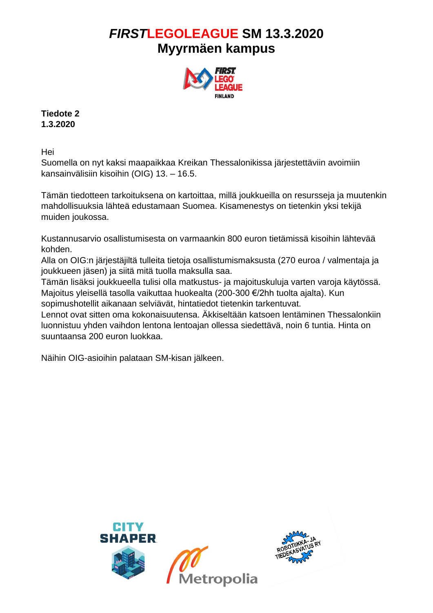

**Tiedote 2 1.3.2020**

Hei

Suomella on nyt kaksi maapaikkaa Kreikan Thessalonikissa järjestettäviin avoimiin kansainvälisiin kisoihin (OIG) 13. – 16.5.

Tämän tiedotteen tarkoituksena on kartoittaa, millä joukkueilla on resursseja ja muutenkin mahdollisuuksia lähteä edustamaan Suomea. Kisamenestys on tietenkin yksi tekijä muiden joukossa.

Kustannusarvio osallistumisesta on varmaankin 800 euron tietämissä kisoihin lähtevää kohden.

Alla on OIG:n järjestäjiltä tulleita tietoja osallistumismaksusta (270 euroa / valmentaja ja joukkueen jäsen) ja siitä mitä tuolla maksulla saa.

Tämän lisäksi joukkueella tulisi olla matkustus- ja majoituskuluja varten varoja käytössä. Majoitus yleisellä tasolla vaikuttaa huokealta (200-300 €/2hh tuolta ajalta). Kun sopimushotellit aikanaan selviävät, hintatiedot tietenkin tarkentuvat.

Lennot ovat sitten oma kokonaisuutensa. Äkkiseltään katsoen lentäminen Thessalonkiin luonnistuu yhden vaihdon lentona lentoajan ollessa siedettävä, noin 6 tuntia. Hinta on suuntaansa 200 euron luokkaa.

Näihin OIG-asioihin palataan SM-kisan jälkeen.

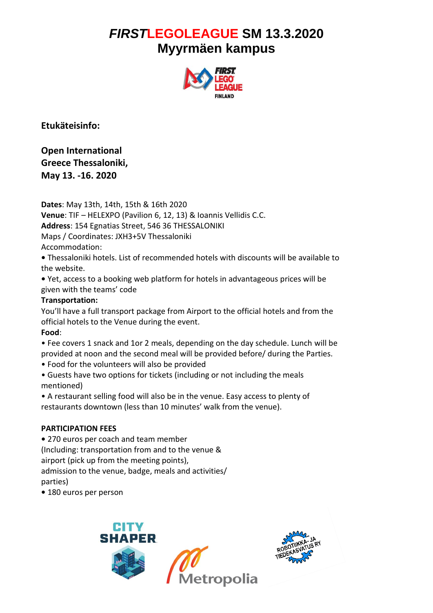

**Etukäteisinfo:**

**Open International Greece Thessaloniki, May 13. -16. 2020** 

**Dates**: May 13th, 14th, 15th & 16th 2020

**Venue**: TIF – HELEXPO (Pavilion 6, 12, 13) & Ioannis Vellidis C.C.

**Address**: 154 Egnatias Street, 546 36 THESSALONIKI

Maps / Coordinates: JXH3+5V Thessaloniki

Accommodation:

**•** Thessaloniki hotels. List of recommended hotels with discounts will be available to the website.

**•** Yet, access to a booking web platform for hotels in advantageous prices will be given with the teams' code

### **Transportation:**

You'll have a full transport package from Airport to the official hotels and from the official hotels to the Venue during the event.

#### **Food**:

• Fee covers 1 snack and 1or 2 meals, depending on the day schedule. Lunch will be provided at noon and the second meal will be provided before/ during the Parties.

• Food for the volunteers will also be provided

• Guests have two options for tickets (including or not including the meals mentioned)

• A restaurant selling food will also be in the venue. Easy access to plenty of restaurants downtown (less than 10 minutes' walk from the venue).

## **PARTICIPATION FEES**

**•** 270 euros per coach and team member

(Including: transportation from and to the venue &

airport (pick up from the meeting points),

admission to the venue, badge, meals and activities/ parties)

**•** 180 euros per person



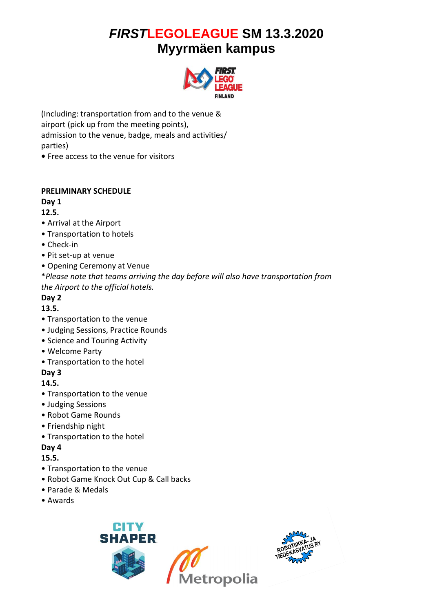

(Including: transportation from and to the venue & airport (pick up from the meeting points), admission to the venue, badge, meals and activities/ parties)

**•** Free access to the venue for visitors

#### **PRELIMINARY SCHEDULE**

### **Day 1**

#### **12.5.**

- Arrival at the Airport
- Transportation to hotels
- Check-in
- Pit set-up at venue
- Opening Ceremony at Venue
- \**Please note that teams arriving the day before will also have transportation from the Airport to the official hotels.*

### **Day 2**

### **13.5.**

- Transportation to the venue
- Judging Sessions, Practice Rounds
- Science and Touring Activity
- Welcome Party
- Transportation to the hotel

## **Day 3**

#### **14.5.**

- Transportation to the venue
- Judging Sessions
- Robot Game Rounds
- Friendship night
- Transportation to the hotel

## **Day 4**

## **15.5.**

- Transportation to the venue
- Robot Game Knock Out Cup & Call backs
- Parade & Medals
- Awards